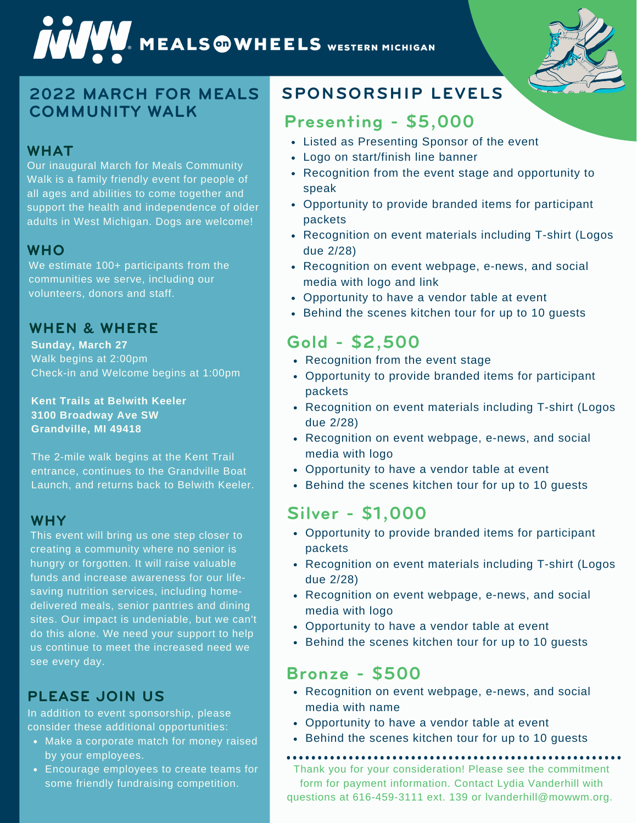# WWW. MEALS WHEELS WESTERN MICHIGAN



#### **WHAT**

Our inaugural March for Meals Community Walk is a family friendly event for people of all ages and abilities to come together and support the health and independence of older adults in West Michigan. Dogs are welcome!

#### **WHO**

We estimate 100+ participants from the communities we serve, including our volunteers, donors and staff.

#### **WHEN & WHERE**

**Sunday, March 27** Walk begins at 2:00pm Check-in and Welcome begins at 1:00pm

**Kent Trails at Belwith Keeler 3100 [Broadway](https://www.bing.com/local?lid=YN873x5857949988294211079&id=YN873x5857949988294211079&q=Belwith+Keeler&name=Belwith+Keeler&cp=42.910118103027344%7e-85.77020263671875&ppois=42.910118103027344_-85.77020263671875_Belwith+Keeler) Ave SW [Grandville,](https://www.bing.com/local?lid=YN873x5857949988294211079&id=YN873x5857949988294211079&q=Belwith+Keeler&name=Belwith+Keeler&cp=42.910118103027344%7e-85.77020263671875&ppois=42.910118103027344_-85.77020263671875_Belwith+Keeler) MI 49418**

The 2-mile walk begins at the Kent Trail entrance, continues to the Grandville Boat Launch, and returns back to Belwith Keeler.

#### **WHY**

This event will bring us one step closer to creating a community where no senior is hungry or forgotten. It will raise valuable funds and increase awareness for our lifesaving nutrition services, including homedelivered meals, senior pantries and dining sites. Our impact is undeniable, but we can't do this alone. We need your support to help us continue to meet the increased need we see every day.

#### **PLEASE JOIN US**

In addition to event sponsorship, please consider these additional opportunities:

- Make a corporate match for money raised by your employees.
- Encourage employees to create teams for some friendly fundraising competition.

#### **Presenting - \$5,000**

- Listed as Presenting Sponsor of the event
- Logo on start/finish line banner
- Recognition from the event stage and opportunity to speak
- Opportunity to provide branded items for participant packets
- Recognition on event materials including T-shirt (Logos due 2/28)
- Recognition on event webpage, e-news, and social media with logo and link
- Opportunity to have a vendor table at event
- Behind the scenes kitchen tour for up to 10 quests

#### **Gold - \$2,500**

- Recognition from the event stage
- Opportunity to provide branded items for participant packets
- Recognition on event materials including T-shirt (Logos due 2/28)
- Recognition on event webpage, e-news, and social media with logo
- Opportunity to have a vendor table at event
- Behind the scenes kitchen tour for up to 10 quests

#### **Silver - \$1,000**

- Opportunity to provide branded items for participant packets
- Recognition on event materials including T-shirt (Logos due 2/28)
- Recognition on event webpage, e-news, and social media with logo
- Opportunity to have a vendor table at event
- Behind the scenes kitchen tour for up to 10 quests

#### **Bronze - \$500**

- Recognition on event webpage, e-news, and social media with name
- Opportunity to have a vendor table at event
- Behind the scenes kitchen tour for up to 10 quests

Thank you for your consideration! Please see the commitment form for payment information. Contact Lydia Vanderhill with questions at 616-459-3111 ext. 139 or lvanderhill@mowwm.org.